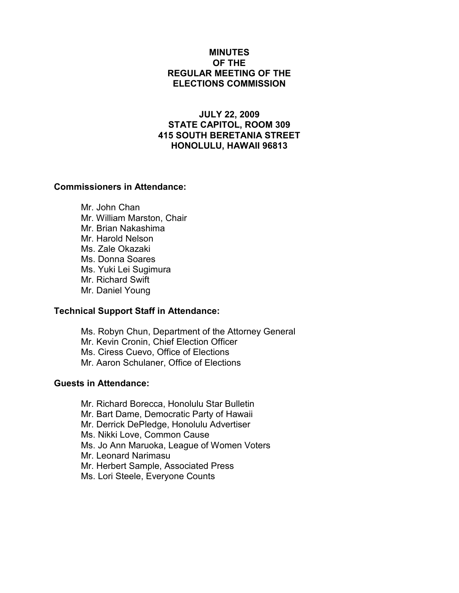## MINUTES OF THE REGULAR MEETING OF THE ELECTIONS COMMISSION

# JULY 22, 2009 STATE CAPITOL, ROOM 309 415 SOUTH BERETANIA STREET HONOLULU, HAWAII 96813

#### Commissioners in Attendance:

 Mr. John Chan Mr. William Marston, Chair Mr. Brian Nakashima Mr. Harold Nelson Ms. Zale Okazaki Ms. Donna Soares Ms. Yuki Lei Sugimura Mr. Richard Swift Mr. Daniel Young

#### Technical Support Staff in Attendance:

Ms. Robyn Chun, Department of the Attorney General Mr. Kevin Cronin, Chief Election Officer Ms. Ciress Cuevo, Office of Elections Mr. Aaron Schulaner, Office of Elections

## Guests in Attendance:

Mr. Richard Borecca, Honolulu Star Bulletin Mr. Bart Dame, Democratic Party of Hawaii Mr. Derrick DePledge, Honolulu Advertiser Ms. Nikki Love, Common Cause Ms. Jo Ann Maruoka, League of Women Voters Mr. Leonard Narimasu Mr. Herbert Sample, Associated Press Ms. Lori Steele, Everyone Counts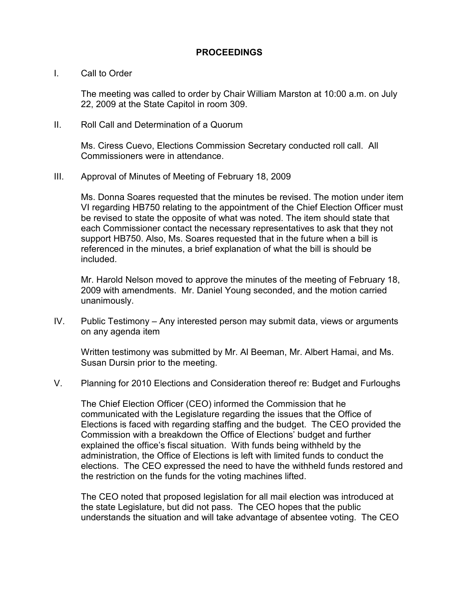# PROCEEDINGS

### I. Call to Order

The meeting was called to order by Chair William Marston at 10:00 a.m. on July 22, 2009 at the State Capitol in room 309.

II. Roll Call and Determination of a Quorum

Ms. Ciress Cuevo, Elections Commission Secretary conducted roll call. All Commissioners were in attendance.

III. Approval of Minutes of Meeting of February 18, 2009

Ms. Donna Soares requested that the minutes be revised. The motion under item VI regarding HB750 relating to the appointment of the Chief Election Officer must be revised to state the opposite of what was noted. The item should state that each Commissioner contact the necessary representatives to ask that they not support HB750. Also, Ms. Soares requested that in the future when a bill is referenced in the minutes, a brief explanation of what the bill is should be included.

Mr. Harold Nelson moved to approve the minutes of the meeting of February 18, 2009 with amendments. Mr. Daniel Young seconded, and the motion carried unanimously.

IV. Public Testimony – Any interested person may submit data, views or arguments on any agenda item

Written testimony was submitted by Mr. Al Beeman, Mr. Albert Hamai, and Ms. Susan Dursin prior to the meeting.

V. Planning for 2010 Elections and Consideration thereof re: Budget and Furloughs

The Chief Election Officer (CEO) informed the Commission that he communicated with the Legislature regarding the issues that the Office of Elections is faced with regarding staffing and the budget. The CEO provided the Commission with a breakdown the Office of Elections' budget and further explained the office's fiscal situation. With funds being withheld by the administration, the Office of Elections is left with limited funds to conduct the elections. The CEO expressed the need to have the withheld funds restored and the restriction on the funds for the voting machines lifted.

The CEO noted that proposed legislation for all mail election was introduced at the state Legislature, but did not pass. The CEO hopes that the public understands the situation and will take advantage of absentee voting. The CEO